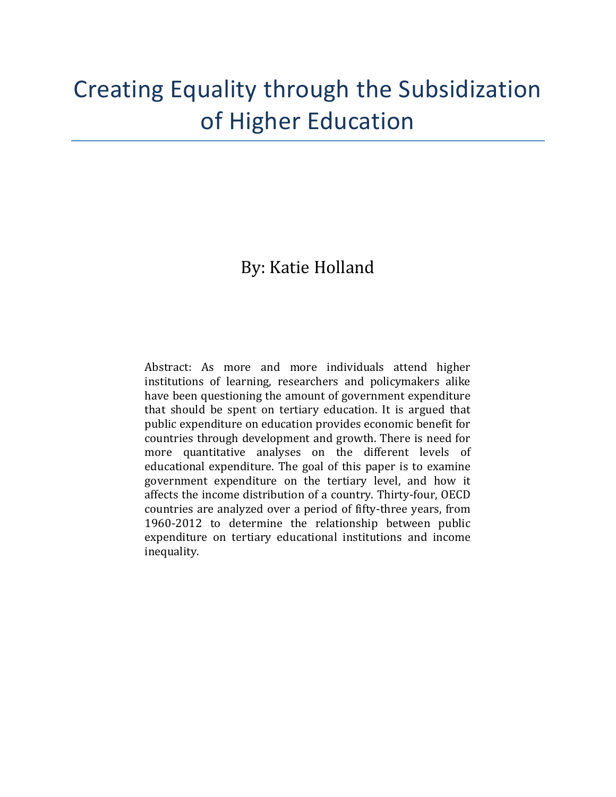# Creating Equality through the Subsidization of Higher Education

# By: Katie Holland

Abstract: As more and more individuals attend higher institutions of learning, researchers and policymakers alike have been questioning the amount of government expenditure that should be spent on tertiary education. It is argued that public expenditure on education provides economic benefit for countries through development and growth. There is need for more quantitative analyses on the different levels of educational expenditure. The goal of this paper is to examine government expenditure on the tertiary level, and how it affects the income distribution of a country. Thirty-four, OECD countries are analyzed over a period of fifty-three years, from 1960-2012 to determine the relationship between public expenditure on tertiary educational institutions and income inequality.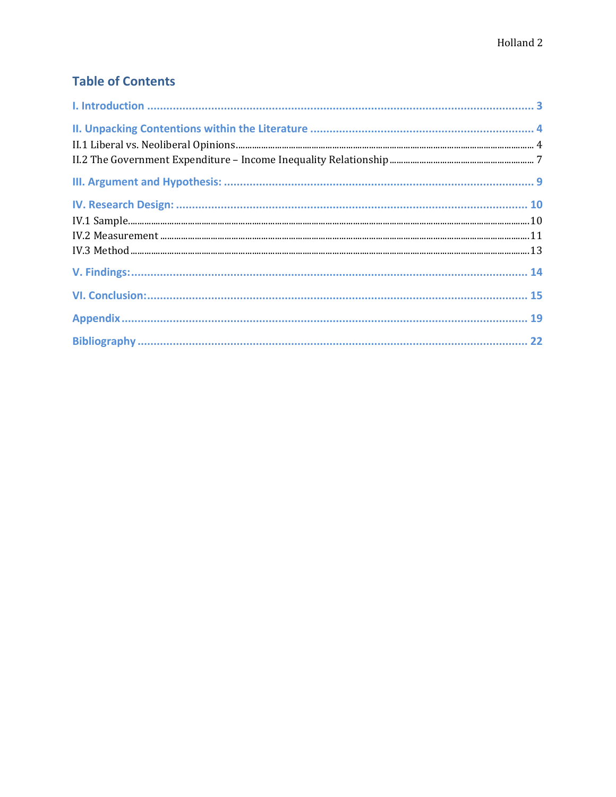# **Table of Contents**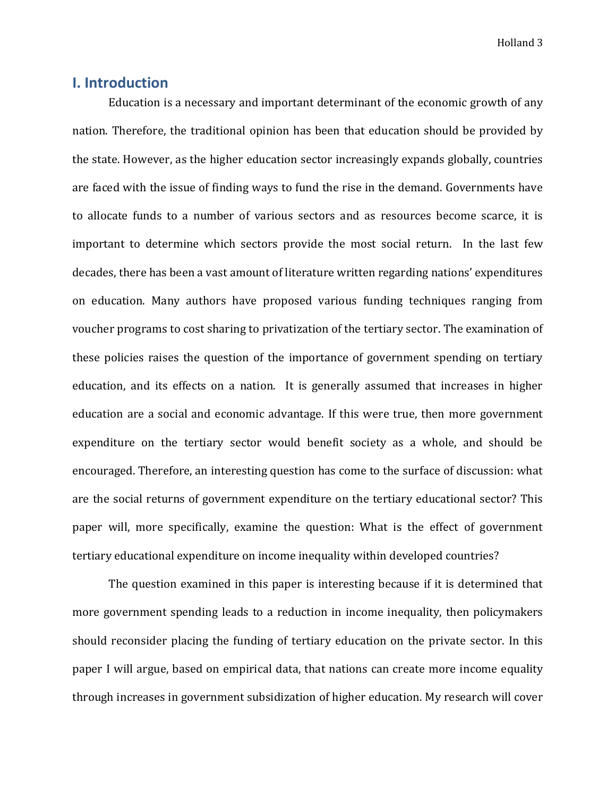# **I. Introduction**

Education is a necessary and important determinant of the economic growth of any nation. Therefore, the traditional opinion has been that education should be provided by the state. However, as the higher education sector increasingly expands globally, countries are faced with the issue of finding ways to fund the rise in the demand. Governments have to allocate funds to a number of various sectors and as resources become scarce, it is important to determine which sectors provide the most social return. In the last few decades, there has been a vast amount of literature written regarding nations' expenditures on education. Many authors have proposed various funding techniques ranging from voucher programs to cost sharing to privatization of the tertiary sector. The examination of these policies raises the question of the importance of government spending on tertiary education, and its effects on a nation. It is generally assumed that increases in higher education are a social and economic advantage. If this were true, then more government expenditure on the tertiary sector would benefit society as a whole, and should be encouraged. Therefore, an interesting question has come to the surface of discussion: what are the social returns of government expenditure on the tertiary educational sector? This paper will, more specifically, examine the question: What is the effect of government tertiary educational expenditure on income inequality within developed countries?

The question examined in this paper is interesting because if it is determined that more government spending leads to a reduction in income inequality, then policymakers should reconsider placing the funding of tertiary education on the private sector. In this paper I will argue, based on empirical data, that nations can create more income equality through increases in government subsidization of higher education. My research will cover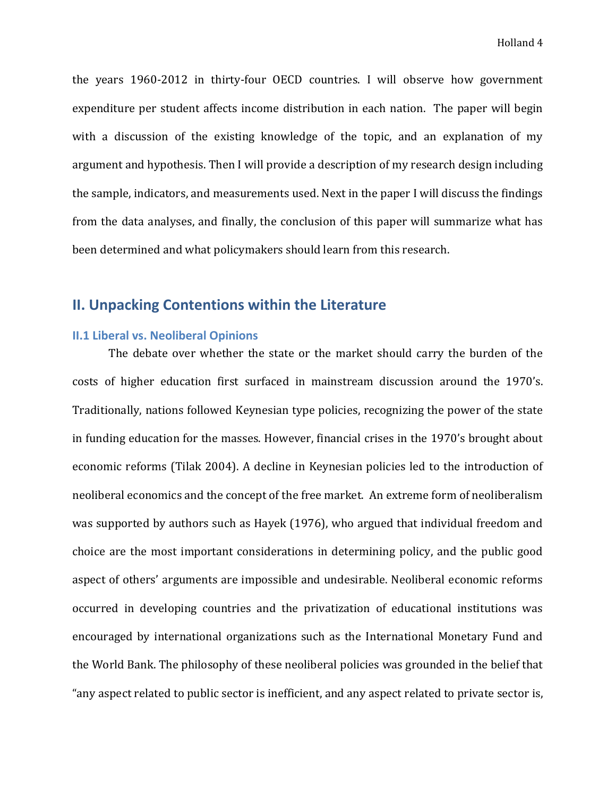the years 1960-2012 in thirty-four OECD countries. I will observe how government expenditure per student affects income distribution in each nation. The paper will begin with a discussion of the existing knowledge of the topic, and an explanation of my argument and hypothesis. Then I will provide a description of my research design including the sample, indicators, and measurements used. Next in the paper I will discuss the findings from the data analyses, and finally, the conclusion of this paper will summarize what has been determined and what policymakers should learn from this research.

# **II. Unpacking Contentions within the Literature**

#### **II.1 Liberal vs. Neoliberal Opinions**

The debate over whether the state or the market should carry the burden of the costs of higher education first surfaced in mainstream discussion around the 1970's. Traditionally, nations followed Keynesian type policies, recognizing the power of the state in funding education for the masses. However, financial crises in the 1970's brought about economic reforms (Tilak 2004). A decline in Keynesian policies led to the introduction of neoliberal economics and the concept of the free market. An extreme form of neoliberalism was supported by authors such as Hayek (1976), who argued that individual freedom and choice are the most important considerations in determining policy, and the public good aspect of others' arguments are impossible and undesirable. Neoliberal economic reforms occurred in developing countries and the privatization of educational institutions was encouraged by international organizations such as the International Monetary Fund and the World Bank. The philosophy of these neoliberal policies was grounded in the belief that "any aspect related to public sector is inefficient, and any aspect related to private sector is,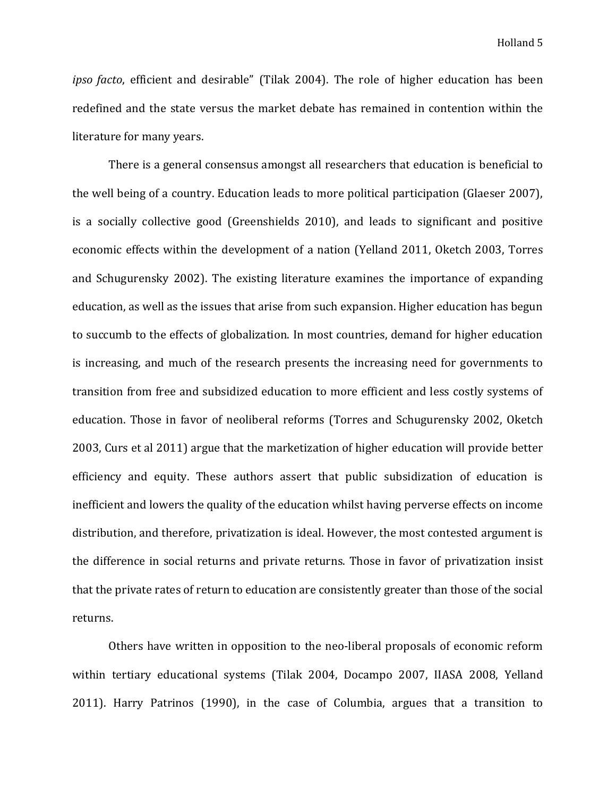*ipso facto*, efficient and desirable" (Tilak 2004). The role of higher education has been redefined and the state versus the market debate has remained in contention within the literature for many years.

There is a general consensus amongst all researchers that education is beneficial to the well being of a country. Education leads to more political participation (Glaeser 2007), is a socially collective good (Greenshields 2010), and leads to significant and positive economic effects within the development of a nation (Yelland 2011, Oketch 2003, Torres and Schugurensky 2002). The existing literature examines the importance of expanding education, as well as the issues that arise from such expansion. Higher education has begun to succumb to the effects of globalization. In most countries, demand for higher education is increasing, and much of the research presents the increasing need for governments to transition from free and subsidized education to more efficient and less costly systems of education. Those in favor of neoliberal reforms (Torres and Schugurensky 2002, Oketch 2003, Curs et al 2011) argue that the marketization of higher education will provide better efficiency and equity. These authors assert that public subsidization of education is inefficient and lowers the quality of the education whilst having perverse effects on income distribution, and therefore, privatization is ideal. However, the most contested argument is the difference in social returns and private returns. Those in favor of privatization insist that the private rates of return to education are consistently greater than those of the social returns.

Others have written in opposition to the neo-liberal proposals of economic reform within tertiary educational systems (Tilak 2004, Docampo 2007, IIASA 2008, Yelland 2011). Harry Patrinos (1990), in the case of Columbia, argues that a transition to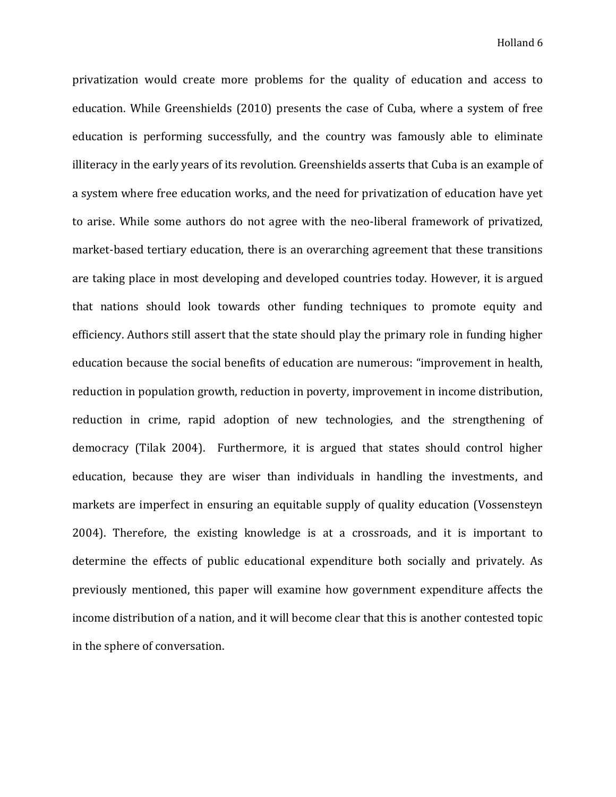privatization would create more problems for the quality of education and access to education. While Greenshields (2010) presents the case of Cuba, where a system of free education is performing successfully, and the country was famously able to eliminate illiteracy in the early years of its revolution. Greenshields asserts that Cuba is an example of a system where free education works, and the need for privatization of education have yet to arise. While some authors do not agree with the neo-liberal framework of privatized, market-based tertiary education, there is an overarching agreement that these transitions are taking place in most developing and developed countries today. However, it is argued that nations should look towards other funding techniques to promote equity and efficiency. Authors still assert that the state should play the primary role in funding higher education because the social benefits of education are numerous: "improvement in health, reduction in population growth, reduction in poverty, improvement in income distribution, reduction in crime, rapid adoption of new technologies, and the strengthening of democracy (Tilak 2004). Furthermore, it is argued that states should control higher education, because they are wiser than individuals in handling the investments, and markets are imperfect in ensuring an equitable supply of quality education (Vossensteyn 2004). Therefore, the existing knowledge is at a crossroads, and it is important to determine the effects of public educational expenditure both socially and privately. As previously mentioned, this paper will examine how government expenditure affects the income distribution of a nation, and it will become clear that this is another contested topic in the sphere of conversation.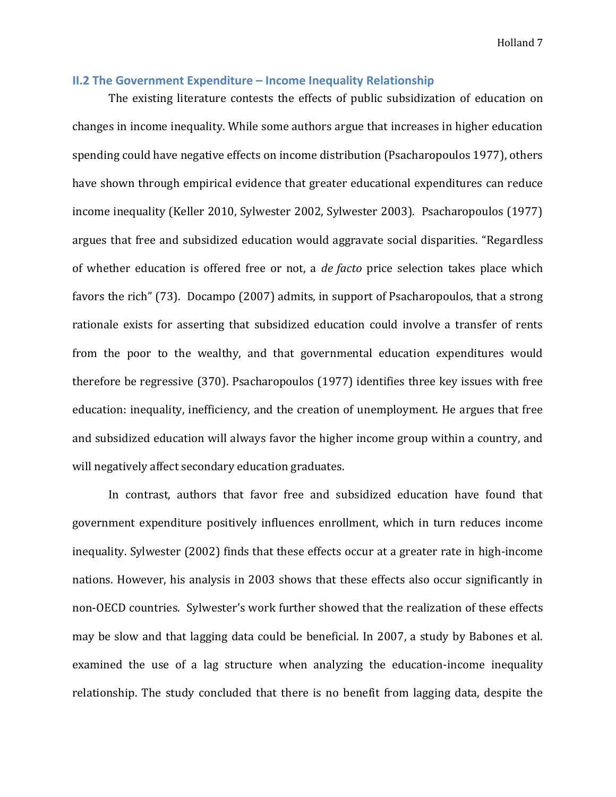#### **II.2 The Government Expenditure – Income Inequality Relationship**

The existing literature contests the effects of public subsidization of education on changes in income inequality. While some authors argue that increases in higher education spending could have negative effects on income distribution (Psacharopoulos 1977), others have shown through empirical evidence that greater educational expenditures can reduce income inequality (Keller 2010, Sylwester 2002, Sylwester 2003). Psacharopoulos (1977) argues that free and subsidized education would aggravate social disparities. "Regardless of whether education is offered free or not, a *de facto* price selection takes place which favors the rich" (73). Docampo (2007) admits, in support of Psacharopoulos, that a strong rationale exists for asserting that subsidized education could involve a transfer of rents from the poor to the wealthy, and that governmental education expenditures would therefore be regressive (370). Psacharopoulos (1977) identifies three key issues with free education: inequality, inefficiency, and the creation of unemployment. He argues that free and subsidized education will always favor the higher income group within a country, and will negatively affect secondary education graduates.

In contrast, authors that favor free and subsidized education have found that government expenditure positively influences enrollment, which in turn reduces income inequality. Sylwester (2002) finds that these effects occur at a greater rate in high-income nations. However, his analysis in 2003 shows that these effects also occur significantly in non-OECD countries. Sylwester's work further showed that the realization of these effects may be slow and that lagging data could be beneficial. In 2007, a study by Babones et al. examined the use of a lag structure when analyzing the education-income inequality relationship. The study concluded that there is no benefit from lagging data, despite the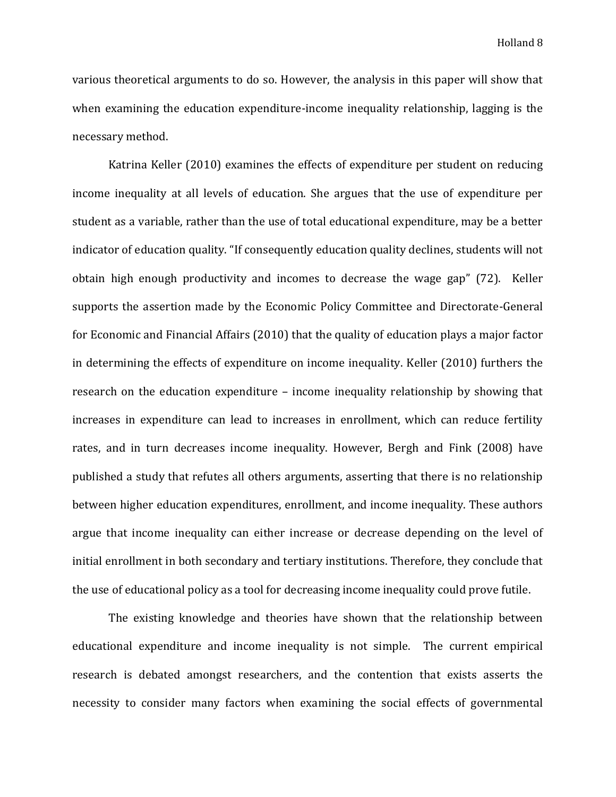various theoretical arguments to do so. However, the analysis in this paper will show that when examining the education expenditure-income inequality relationship, lagging is the necessary method.

Katrina Keller (2010) examines the effects of expenditure per student on reducing income inequality at all levels of education. She argues that the use of expenditure per student as a variable, rather than the use of total educational expenditure, may be a better indicator of education quality. "If consequently education quality declines, students will not obtain high enough productivity and incomes to decrease the wage gap" (72). Keller supports the assertion made by the Economic Policy Committee and Directorate-General for Economic and Financial Affairs (2010) that the quality of education plays a major factor in determining the effects of expenditure on income inequality. Keller (2010) furthers the research on the education expenditure – income inequality relationship by showing that increases in expenditure can lead to increases in enrollment, which can reduce fertility rates, and in turn decreases income inequality. However, Bergh and Fink (2008) have published a study that refutes all others arguments, asserting that there is no relationship between higher education expenditures, enrollment, and income inequality. These authors argue that income inequality can either increase or decrease depending on the level of initial enrollment in both secondary and tertiary institutions. Therefore, they conclude that the use of educational policy as a tool for decreasing income inequality could prove futile.

The existing knowledge and theories have shown that the relationship between educational expenditure and income inequality is not simple. The current empirical research is debated amongst researchers, and the contention that exists asserts the necessity to consider many factors when examining the social effects of governmental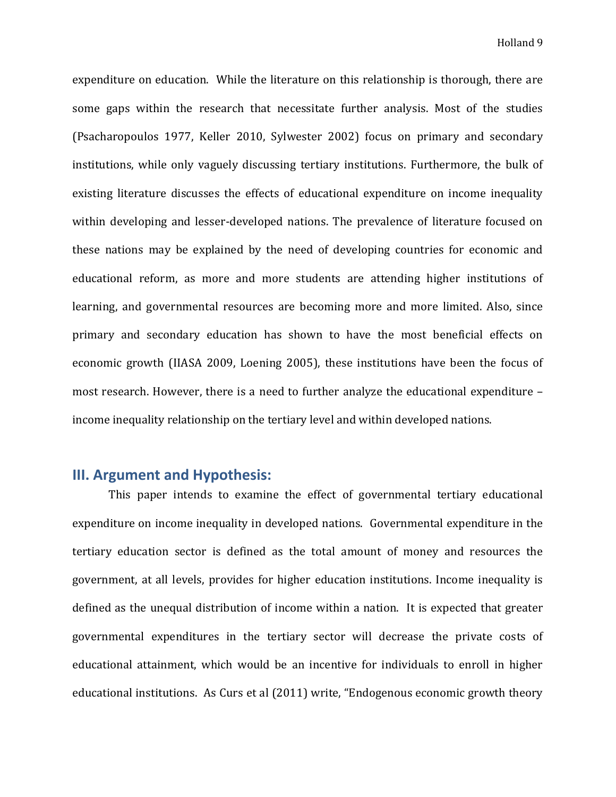expenditure on education. While the literature on this relationship is thorough, there are some gaps within the research that necessitate further analysis. Most of the studies (Psacharopoulos 1977, Keller 2010, Sylwester 2002) focus on primary and secondary institutions, while only vaguely discussing tertiary institutions. Furthermore, the bulk of existing literature discusses the effects of educational expenditure on income inequality within developing and lesser-developed nations. The prevalence of literature focused on these nations may be explained by the need of developing countries for economic and educational reform, as more and more students are attending higher institutions of learning, and governmental resources are becoming more and more limited. Also, since primary and secondary education has shown to have the most beneficial effects on economic growth (IIASA 2009, Loening 2005), these institutions have been the focus of most research. However, there is a need to further analyze the educational expenditure – income inequality relationship on the tertiary level and within developed nations.

# **III. Argument and Hypothesis:**

This paper intends to examine the effect of governmental tertiary educational expenditure on income inequality in developed nations. Governmental expenditure in the tertiary education sector is defined as the total amount of money and resources the government, at all levels, provides for higher education institutions. Income inequality is defined as the unequal distribution of income within a nation. It is expected that greater governmental expenditures in the tertiary sector will decrease the private costs of educational attainment, which would be an incentive for individuals to enroll in higher educational institutions. As Curs et al (2011) write, "Endogenous economic growth theory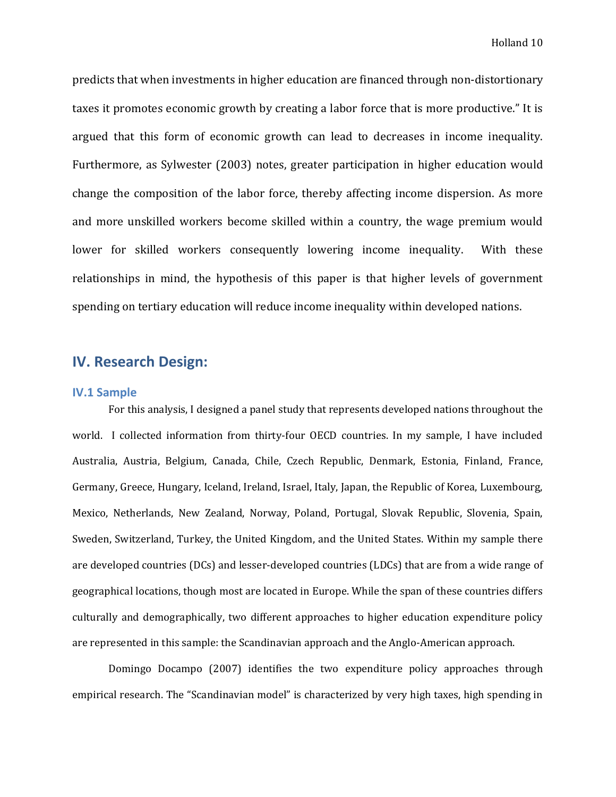predicts that when investments in higher education are financed through non-distortionary taxes it promotes economic growth by creating a labor force that is more productive." It is argued that this form of economic growth can lead to decreases in income inequality. Furthermore, as Sylwester (2003) notes, greater participation in higher education would change the composition of the labor force, thereby affecting income dispersion. As more and more unskilled workers become skilled within a country, the wage premium would lower for skilled workers consequently lowering income inequality. With these relationships in mind, the hypothesis of this paper is that higher levels of government spending on tertiary education will reduce income inequality within developed nations.

# **IV. Research Design:**

#### **IV.1 Sample**

For this analysis, I designed a panel study that represents developed nations throughout the world. I collected information from thirty-four OECD countries. In my sample, I have included Australia, Austria, Belgium, Canada, Chile, Czech Republic, Denmark, Estonia, Finland, France, Germany, Greece, Hungary, Iceland, Ireland, Israel, Italy, Japan, the Republic of Korea, Luxembourg, Mexico, Netherlands, New Zealand, Norway, Poland, Portugal, Slovak Republic, Slovenia, Spain, Sweden, Switzerland, Turkey, the United Kingdom, and the United States. Within my sample there are developed countries (DCs) and lesser-developed countries (LDCs) that are from a wide range of geographical locations, though most are located in Europe. While the span of these countries differs culturally and demographically, two different approaches to higher education expenditure policy are represented in this sample: the Scandinavian approach and the Anglo-American approach.

Domingo Docampo (2007) identifies the two expenditure policy approaches through empirical research. The "Scandinavian model" is characterized by very high taxes, high spending in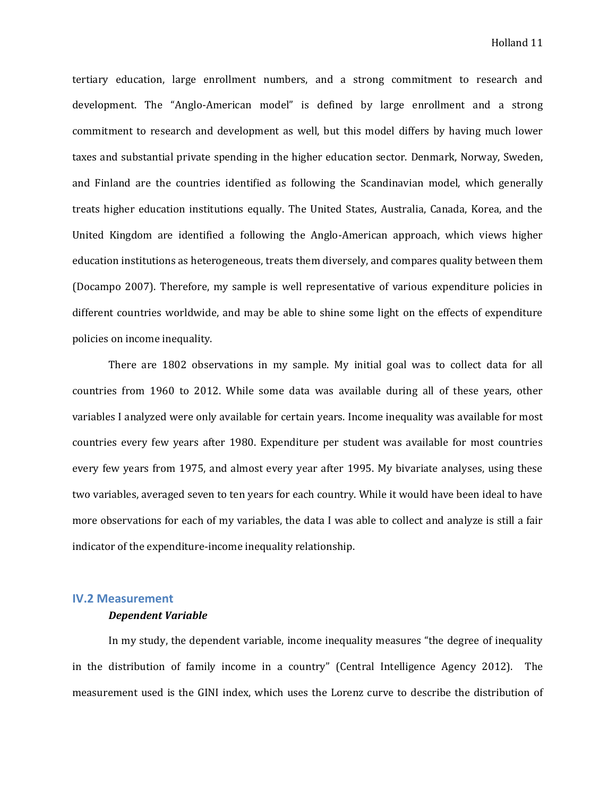tertiary education, large enrollment numbers, and a strong commitment to research and development. The "Anglo-American model" is defined by large enrollment and a strong commitment to research and development as well, but this model differs by having much lower taxes and substantial private spending in the higher education sector. Denmark, Norway, Sweden, and Finland are the countries identified as following the Scandinavian model, which generally treats higher education institutions equally. The United States, Australia, Canada, Korea, and the United Kingdom are identified a following the Anglo-American approach, which views higher education institutions as heterogeneous, treats them diversely, and compares quality between them (Docampo 2007). Therefore, my sample is well representative of various expenditure policies in different countries worldwide, and may be able to shine some light on the effects of expenditure policies on income inequality.

There are 1802 observations in my sample. My initial goal was to collect data for all countries from 1960 to 2012. While some data was available during all of these years, other variables I analyzed were only available for certain years. Income inequality was available for most countries every few years after 1980. Expenditure per student was available for most countries every few years from 1975, and almost every year after 1995. My bivariate analyses, using these two variables, averaged seven to ten years for each country. While it would have been ideal to have more observations for each of my variables, the data I was able to collect and analyze is still a fair indicator of the expenditure-income inequality relationship.

#### **IV.2 Measurement**

#### *Dependent Variable*

In my study, the dependent variable, income inequality measures "the degree of inequality in the distribution of family income in a country" (Central Intelligence Agency 2012). The measurement used is the GINI index, which uses the Lorenz curve to describe the distribution of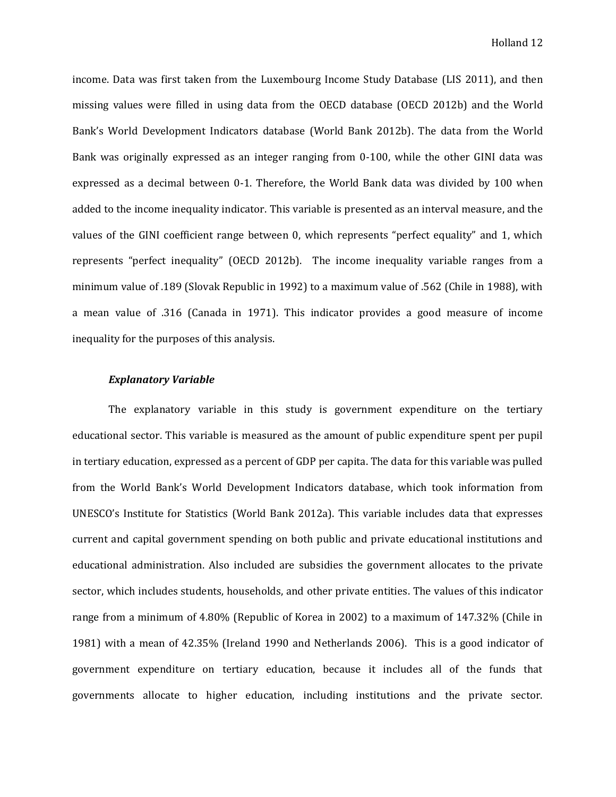income. Data was first taken from the Luxembourg Income Study Database (LIS 2011), and then missing values were filled in using data from the OECD database (OECD 2012b) and the World Bank's World Development Indicators database (World Bank 2012b). The data from the World Bank was originally expressed as an integer ranging from 0-100, while the other GINI data was expressed as a decimal between 0-1. Therefore, the World Bank data was divided by 100 when added to the income inequality indicator. This variable is presented as an interval measure, and the values of the GINI coefficient range between 0, which represents "perfect equality" and 1, which represents "perfect inequality" (OECD 2012b). The income inequality variable ranges from a minimum value of .189 (Slovak Republic in 1992) to a maximum value of .562 (Chile in 1988), with a mean value of .316 (Canada in 1971). This indicator provides a good measure of income inequality for the purposes of this analysis.

#### *Explanatory Variable*

The explanatory variable in this study is government expenditure on the tertiary educational sector. This variable is measured as the amount of public expenditure spent per pupil in tertiary education, expressed as a percent of GDP per capita. The data for this variable was pulled from the World Bank's World Development Indicators database, which took information from UNESCO's Institute for Statistics (World Bank 2012a). This variable includes data that expresses current and capital government spending on both public and private educational institutions and educational administration. Also included are subsidies the government allocates to the private sector, which includes students, households, and other private entities. The values of this indicator range from a minimum of 4.80% (Republic of Korea in 2002) to a maximum of 147.32% (Chile in 1981) with a mean of 42.35% (Ireland 1990 and Netherlands 2006). This is a good indicator of government expenditure on tertiary education, because it includes all of the funds that governments allocate to higher education, including institutions and the private sector.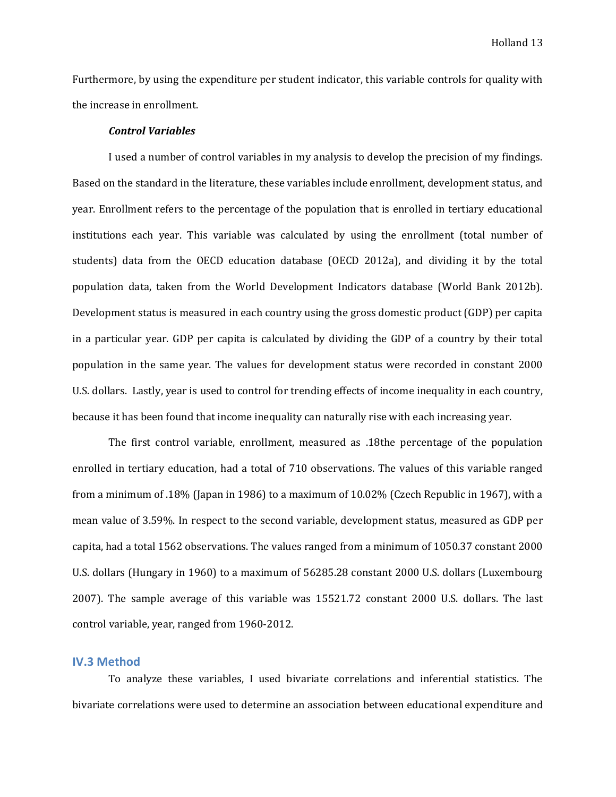Furthermore, by using the expenditure per student indicator, this variable controls for quality with the increase in enrollment.

#### *Control Variables*

I used a number of control variables in my analysis to develop the precision of my findings. Based on the standard in the literature, these variables include enrollment, development status, and year. Enrollment refers to the percentage of the population that is enrolled in tertiary educational institutions each year. This variable was calculated by using the enrollment (total number of students) data from the OECD education database (OECD 2012a), and dividing it by the total population data, taken from the World Development Indicators database (World Bank 2012b). Development status is measured in each country using the gross domestic product (GDP) per capita in a particular year. GDP per capita is calculated by dividing the GDP of a country by their total population in the same year. The values for development status were recorded in constant 2000 U.S. dollars. Lastly, year is used to control for trending effects of income inequality in each country, because it has been found that income inequality can naturally rise with each increasing year.

The first control variable, enrollment, measured as .18the percentage of the population enrolled in tertiary education, had a total of 710 observations. The values of this variable ranged from a minimum of .18% (Japan in 1986) to a maximum of 10.02% (Czech Republic in 1967), with a mean value of 3.59%. In respect to the second variable, development status, measured as GDP per capita, had a total 1562 observations. The values ranged from a minimum of 1050.37 constant 2000 U.S. dollars (Hungary in 1960) to a maximum of 56285.28 constant 2000 U.S. dollars (Luxembourg 2007). The sample average of this variable was 15521.72 constant 2000 U.S. dollars. The last control variable, year, ranged from 1960-2012.

#### **IV.3 Method**

To analyze these variables, I used bivariate correlations and inferential statistics. The bivariate correlations were used to determine an association between educational expenditure and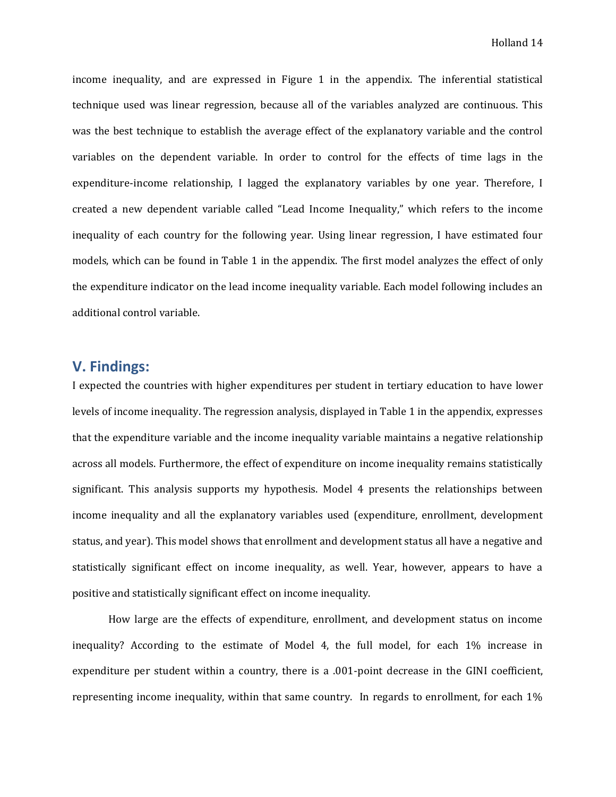income inequality, and are expressed in Figure 1 in the appendix. The inferential statistical technique used was linear regression, because all of the variables analyzed are continuous. This was the best technique to establish the average effect of the explanatory variable and the control variables on the dependent variable. In order to control for the effects of time lags in the expenditure-income relationship, I lagged the explanatory variables by one year. Therefore, I created a new dependent variable called "Lead Income Inequality," which refers to the income inequality of each country for the following year. Using linear regression, I have estimated four models, which can be found in Table 1 in the appendix. The first model analyzes the effect of only the expenditure indicator on the lead income inequality variable. Each model following includes an additional control variable.

# **V. Findings:**

I expected the countries with higher expenditures per student in tertiary education to have lower levels of income inequality. The regression analysis, displayed in Table 1 in the appendix, expresses that the expenditure variable and the income inequality variable maintains a negative relationship across all models. Furthermore, the effect of expenditure on income inequality remains statistically significant. This analysis supports my hypothesis. Model 4 presents the relationships between income inequality and all the explanatory variables used (expenditure, enrollment, development status, and year). This model shows that enrollment and development status all have a negative and statistically significant effect on income inequality, as well. Year, however, appears to have a positive and statistically significant effect on income inequality.

How large are the effects of expenditure, enrollment, and development status on income inequality? According to the estimate of Model 4, the full model, for each 1% increase in expenditure per student within a country, there is a .001-point decrease in the GINI coefficient, representing income inequality, within that same country. In regards to enrollment, for each 1%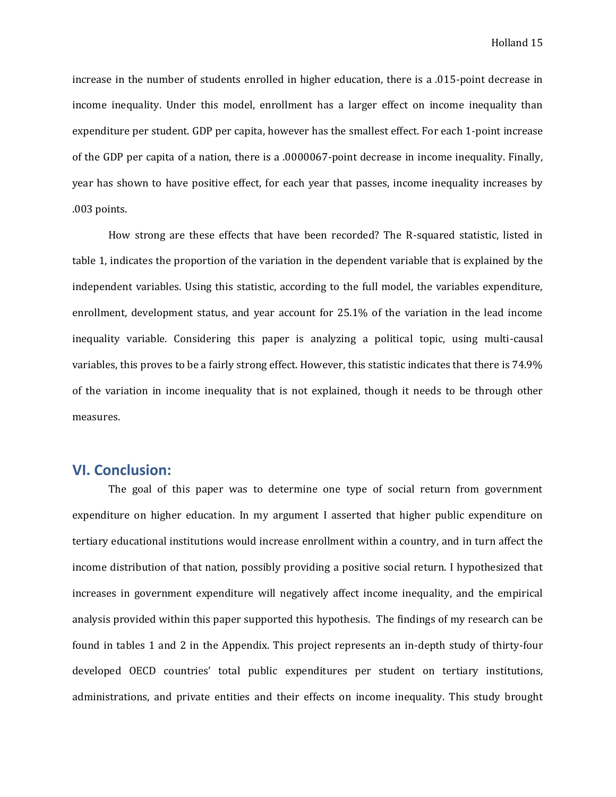increase in the number of students enrolled in higher education, there is a .015-point decrease in income inequality. Under this model, enrollment has a larger effect on income inequality than expenditure per student. GDP per capita, however has the smallest effect. For each 1-point increase of the GDP per capita of a nation, there is a .0000067-point decrease in income inequality. Finally, year has shown to have positive effect, for each year that passes, income inequality increases by .003 points.

How strong are these effects that have been recorded? The R-squared statistic, listed in table 1, indicates the proportion of the variation in the dependent variable that is explained by the independent variables. Using this statistic, according to the full model, the variables expenditure, enrollment, development status, and year account for 25.1% of the variation in the lead income inequality variable. Considering this paper is analyzing a political topic, using multi-causal variables, this proves to be a fairly strong effect. However, this statistic indicates that there is 74.9% of the variation in income inequality that is not explained, though it needs to be through other measures.

# **VI. Conclusion:**

The goal of this paper was to determine one type of social return from government expenditure on higher education. In my argument I asserted that higher public expenditure on tertiary educational institutions would increase enrollment within a country, and in turn affect the income distribution of that nation, possibly providing a positive social return. I hypothesized that increases in government expenditure will negatively affect income inequality, and the empirical analysis provided within this paper supported this hypothesis. The findings of my research can be found in tables 1 and 2 in the Appendix. This project represents an in-depth study of thirty-four developed OECD countries' total public expenditures per student on tertiary institutions, administrations, and private entities and their effects on income inequality. This study brought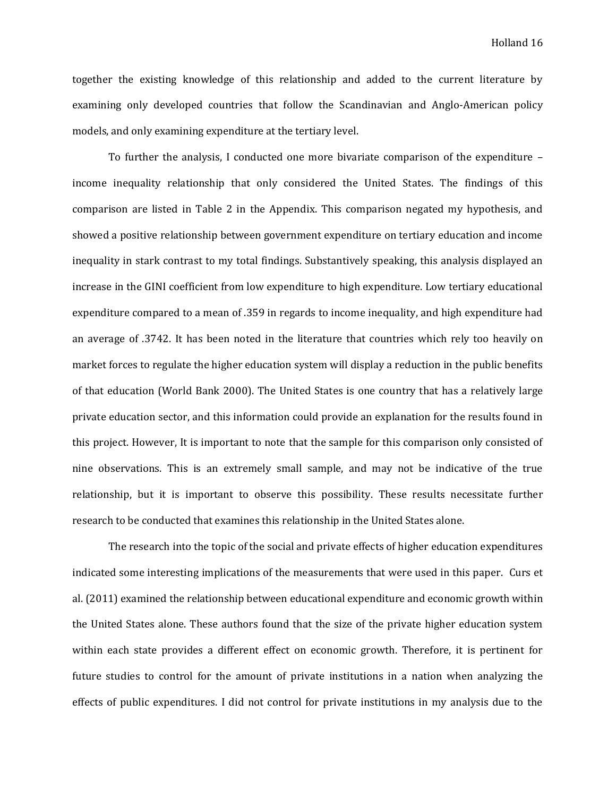together the existing knowledge of this relationship and added to the current literature by examining only developed countries that follow the Scandinavian and Anglo-American policy models, and only examining expenditure at the tertiary level.

To further the analysis, I conducted one more bivariate comparison of the expenditure – income inequality relationship that only considered the United States. The findings of this comparison are listed in Table 2 in the Appendix. This comparison negated my hypothesis, and showed a positive relationship between government expenditure on tertiary education and income inequality in stark contrast to my total findings. Substantively speaking, this analysis displayed an increase in the GINI coefficient from low expenditure to high expenditure. Low tertiary educational expenditure compared to a mean of .359 in regards to income inequality, and high expenditure had an average of .3742. It has been noted in the literature that countries which rely too heavily on market forces to regulate the higher education system will display a reduction in the public benefits of that education (World Bank 2000). The United States is one country that has a relatively large private education sector, and this information could provide an explanation for the results found in this project. However, It is important to note that the sample for this comparison only consisted of nine observations. This is an extremely small sample, and may not be indicative of the true relationship, but it is important to observe this possibility. These results necessitate further research to be conducted that examines this relationship in the United States alone.

The research into the topic of the social and private effects of higher education expenditures indicated some interesting implications of the measurements that were used in this paper. Curs et al. (2011) examined the relationship between educational expenditure and economic growth within the United States alone. These authors found that the size of the private higher education system within each state provides a different effect on economic growth. Therefore, it is pertinent for future studies to control for the amount of private institutions in a nation when analyzing the effects of public expenditures. I did not control for private institutions in my analysis due to the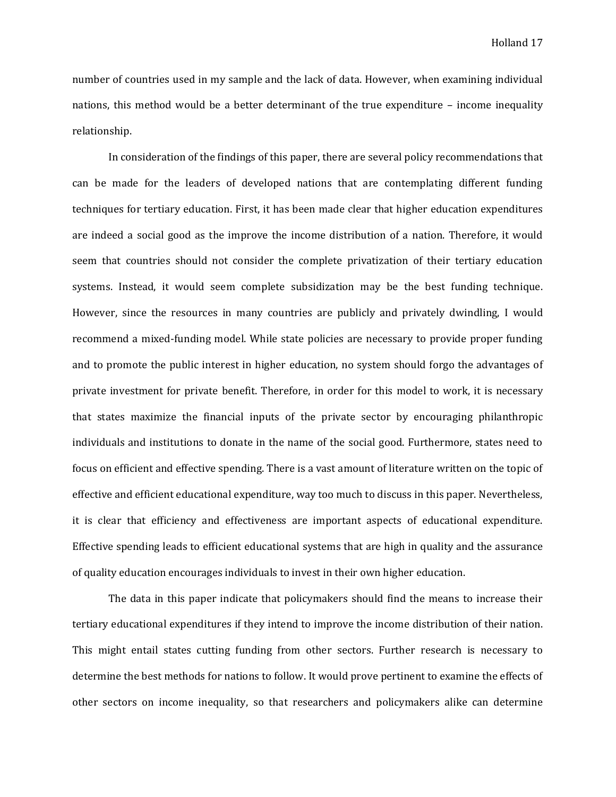number of countries used in my sample and the lack of data. However, when examining individual nations, this method would be a better determinant of the true expenditure – income inequality relationship.

In consideration of the findings of this paper, there are several policy recommendations that can be made for the leaders of developed nations that are contemplating different funding techniques for tertiary education. First, it has been made clear that higher education expenditures are indeed a social good as the improve the income distribution of a nation. Therefore, it would seem that countries should not consider the complete privatization of their tertiary education systems. Instead, it would seem complete subsidization may be the best funding technique. However, since the resources in many countries are publicly and privately dwindling, I would recommend a mixed-funding model. While state policies are necessary to provide proper funding and to promote the public interest in higher education, no system should forgo the advantages of private investment for private benefit. Therefore, in order for this model to work, it is necessary that states maximize the financial inputs of the private sector by encouraging philanthropic individuals and institutions to donate in the name of the social good. Furthermore, states need to focus on efficient and effective spending. There is a vast amount of literature written on the topic of effective and efficient educational expenditure, way too much to discuss in this paper. Nevertheless, it is clear that efficiency and effectiveness are important aspects of educational expenditure. Effective spending leads to efficient educational systems that are high in quality and the assurance of quality education encourages individuals to invest in their own higher education.

The data in this paper indicate that policymakers should find the means to increase their tertiary educational expenditures if they intend to improve the income distribution of their nation. This might entail states cutting funding from other sectors. Further research is necessary to determine the best methods for nations to follow. It would prove pertinent to examine the effects of other sectors on income inequality, so that researchers and policymakers alike can determine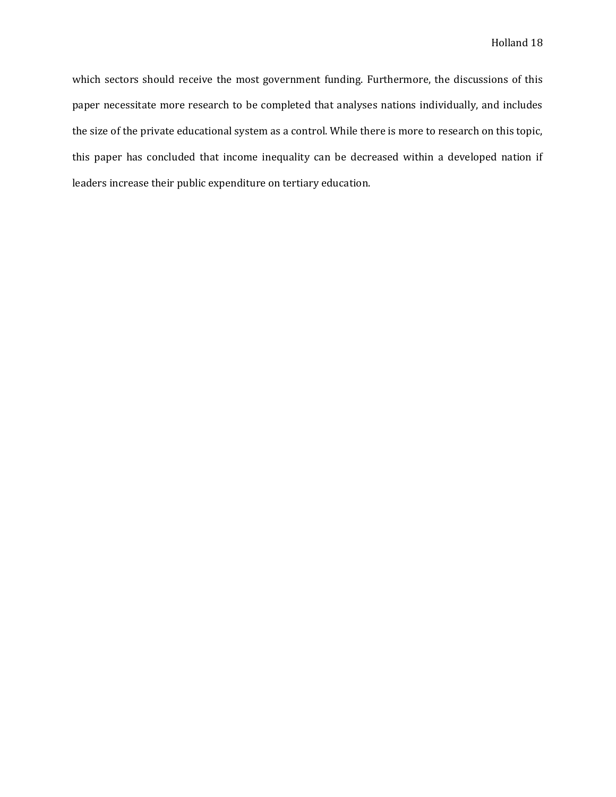which sectors should receive the most government funding. Furthermore, the discussions of this paper necessitate more research to be completed that analyses nations individually, and includes the size of the private educational system as a control. While there is more to research on this topic, this paper has concluded that income inequality can be decreased within a developed nation if leaders increase their public expenditure on tertiary education.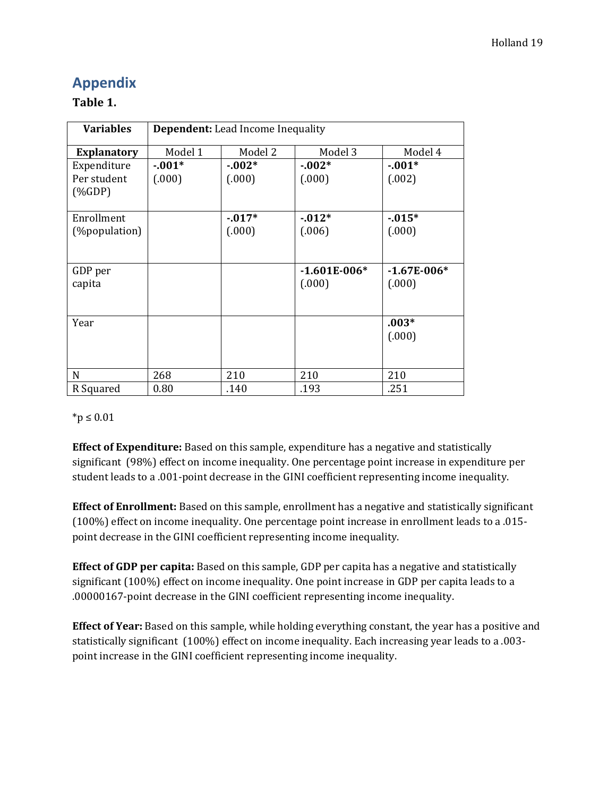# **Appendix**

# **Table 1.**

| <b>Variables</b>   | <b>Dependent:</b> Lead Income Inequality |           |                |               |  |
|--------------------|------------------------------------------|-----------|----------------|---------------|--|
| <b>Explanatory</b> | Model 1                                  | Model 2   | Model 3        | Model 4       |  |
| Expenditure        | $-0.01*$                                 | $-0.002*$ | $-0.002*$      | $-0.01*$      |  |
| Per student        | (.000)                                   | (.000)    | (.000)         | (.002)        |  |
| $(\%GDP)$          |                                          |           |                |               |  |
| Enrollment         |                                          | $-0.017*$ | $-0.012*$      | $-0.015*$     |  |
| (%population)      |                                          | (.000)    | (.006)         | (.000)        |  |
|                    |                                          |           |                |               |  |
| GDP per            |                                          |           | $-1.601E-006*$ | $-1.67E-006*$ |  |
| capita             |                                          |           | (.000)         | (.000)        |  |
|                    |                                          |           |                |               |  |
| Year               |                                          |           |                | $.003*$       |  |
|                    |                                          |           |                | (.000)        |  |
|                    |                                          |           |                |               |  |
| $\mathbf N$        | 268                                      | 210       | 210            | 210           |  |
| R Squared          | 0.80                                     | .140      | .193           | .251          |  |

### \*p ≤ 0.01

**Effect of Expenditure:** Based on this sample, expenditure has a negative and statistically significant (98%) effect on income inequality. One percentage point increase in expenditure per student leads to a .001-point decrease in the GINI coefficient representing income inequality.

**Effect of Enrollment:** Based on this sample, enrollment has a negative and statistically significant (100%) effect on income inequality. One percentage point increase in enrollment leads to a .015 point decrease in the GINI coefficient representing income inequality.

**Effect of GDP per capita:** Based on this sample, GDP per capita has a negative and statistically significant (100%) effect on income inequality. One point increase in GDP per capita leads to a .00000167-point decrease in the GINI coefficient representing income inequality.

**Effect of Year:** Based on this sample, while holding everything constant, the year has a positive and statistically significant (100%) effect on income inequality. Each increasing year leads to a .003 point increase in the GINI coefficient representing income inequality.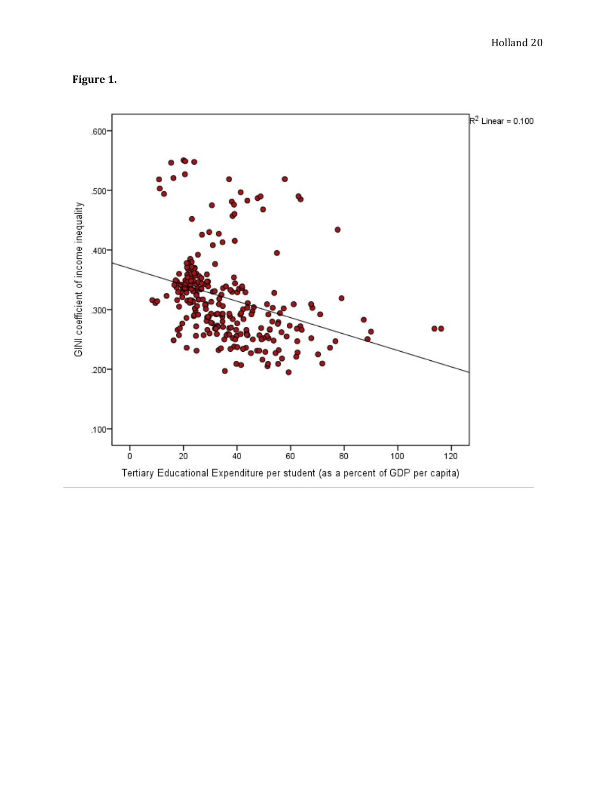



Tertiary Educational Expenditure per student (as a percent of GDP per capita)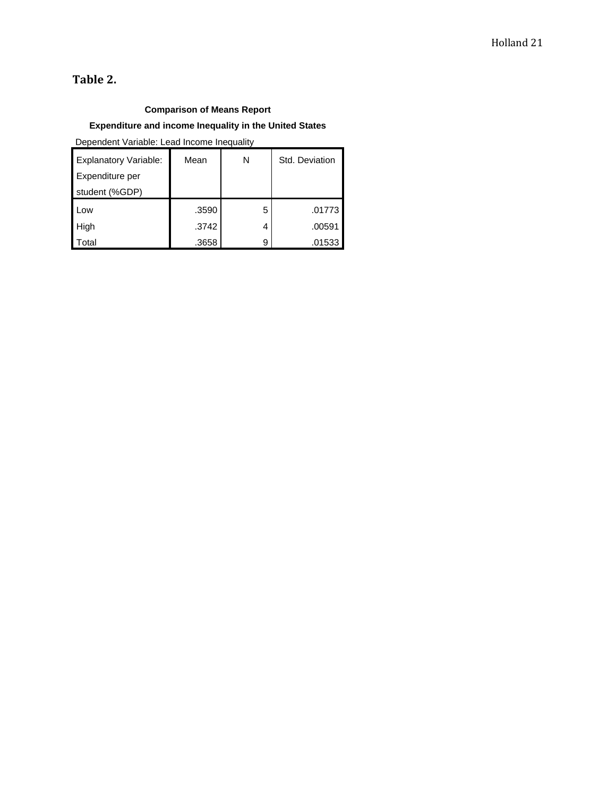# **Table 2.**

### **Comparison of Means Report**

### **Expenditure and income Inequality in the United States**

Dependent Variable: Lead Income Inequality

| <b>Explanatory Variable:</b> | Mean  | N | Std. Deviation |
|------------------------------|-------|---|----------------|
| Expenditure per              |       |   |                |
| student (%GDP)               |       |   |                |
| l Low                        | .3590 | 5 | .01773         |
| <b>High</b>                  | .3742 | 4 | .00591         |
| Total                        | .3658 | 9 | .01533         |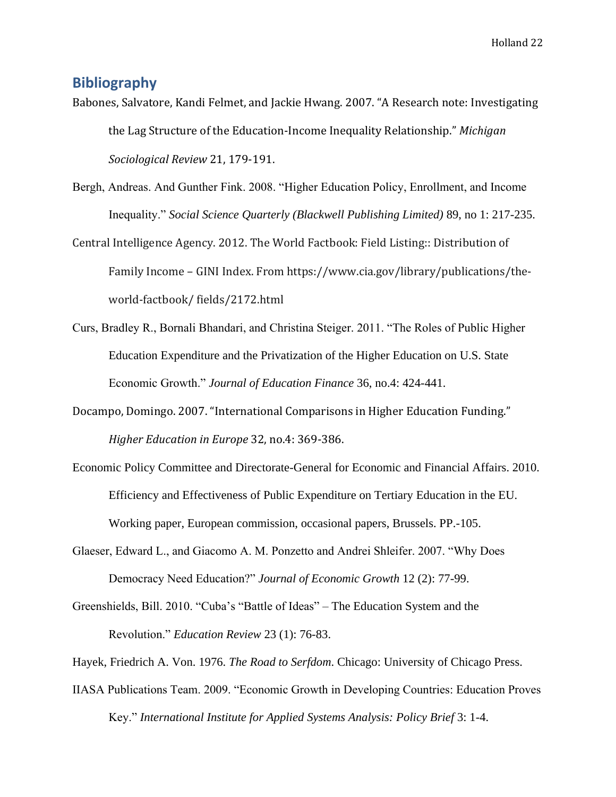# **Bibliography**

Babones, Salvatore, Kandi Felmet, and Jackie Hwang. 2007. "A Research note: Investigating the Lag Structure of the Education-Income Inequality Relationship." *Michigan Sociological Review* 21, 179-191.

Bergh, Andreas. And Gunther Fink. 2008. "Higher Education Policy, Enrollment, and Income Inequality." *Social Science Quarterly (Blackwell Publishing Limited)* 89, no 1: 217-235.

Central Intelligence Agency. 2012. The World Factbook: Field Listing:: Distribution of Family Income – GINI Index. From https://www.cia.gov/library/publications/theworld-factbook/ fields/2172.html

- Curs, Bradley R., Bornali Bhandari, and Christina Steiger. 2011. "The Roles of Public Higher Education Expenditure and the Privatization of the Higher Education on U.S. State Economic Growth." *Journal of Education Finance* 36, no.4: 424-441.
- Docampo, Domingo. 2007. "International Comparisons in Higher Education Funding." *Higher Education in Europe* 32, no.4: 369-386.
- Economic Policy Committee and Directorate-General for Economic and Financial Affairs. 2010. Efficiency and Effectiveness of Public Expenditure on Tertiary Education in the EU. Working paper, European commission, occasional papers, Brussels. PP.-105.
- Glaeser, Edward L., and Giacomo A. M. Ponzetto and Andrei Shleifer. 2007. "Why Does Democracy Need Education?" *Journal of Economic Growth* 12 (2): 77-99.
- Greenshields, Bill. 2010. "Cuba's "Battle of Ideas" The Education System and the Revolution." *Education Review* 23 (1): 76-83.
- Hayek, Friedrich A. Von. 1976. *The Road to Serfdom*. Chicago: University of Chicago Press.
- IIASA Publications Team. 2009. "Economic Growth in Developing Countries: Education Proves Key." *International Institute for Applied Systems Analysis: Policy Brief* 3: 1-4.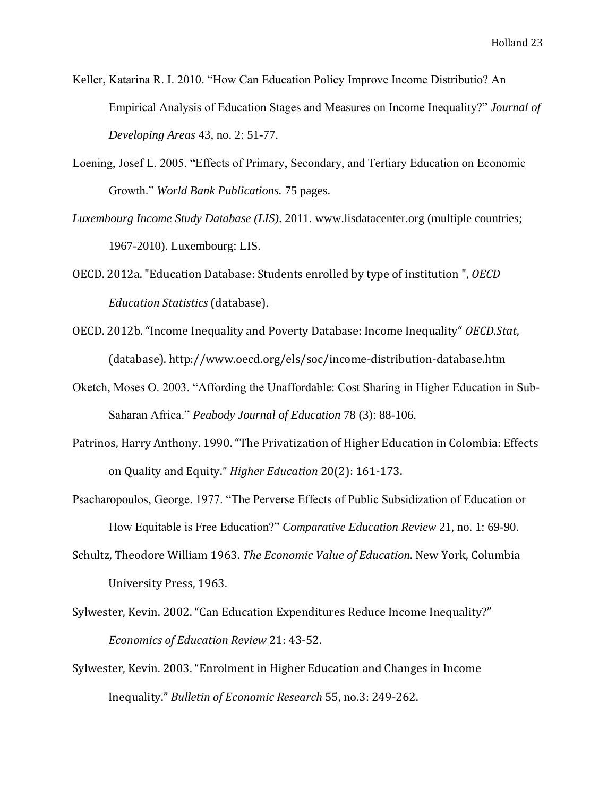- Keller, Katarina R. I. 2010. "How Can Education Policy Improve Income Distributio? An Empirical Analysis of Education Stages and Measures on Income Inequality?" *Journal of Developing Areas* 43, no. 2: 51-77.
- Loening, Josef L. 2005. "Effects of Primary, Secondary, and Tertiary Education on Economic Growth." *World Bank Publications.* 75 pages.
- *Luxembourg Income Study Database (LIS)*. 2011. www.lisdatacenter.org (multiple countries; 1967-2010). Luxembourg: LIS.
- OECD. 2012a. "Education Database: Students enrolled by type of institution ", *OECD Education Statistics* (database).
- OECD. 2012b. "Income Inequality and Poverty Database: Income Inequality" *OECD.Stat*, (database). http://www.oecd.org/els/soc/income-distribution-database.htm
- Oketch, Moses O. 2003. "Affording the Unaffordable: Cost Sharing in Higher Education in Sub-Saharan Africa." *Peabody Journal of Education* 78 (3): 88-106.
- Patrinos, Harry Anthony. 1990. "The Privatization of Higher Education in Colombia: Effects on Quality and Equity." *Higher Education* 20(2): 161-173.
- Psacharopoulos, George. 1977. "The Perverse Effects of Public Subsidization of Education or How Equitable is Free Education?" *Comparative Education Review* 21, no. 1: 69-90.
- Schultz, Theodore William 1963. *The Economic Value of Education*. New York, Columbia University Press, 1963.
- Sylwester, Kevin. 2002. "Can Education Expenditures Reduce Income Inequality?" *Economics of Education Review* 21: 43-52.
- Sylwester, Kevin. 2003. "Enrolment in Higher Education and Changes in Income Inequality." *Bulletin of Economic Research* 55, no.3: 249-262.